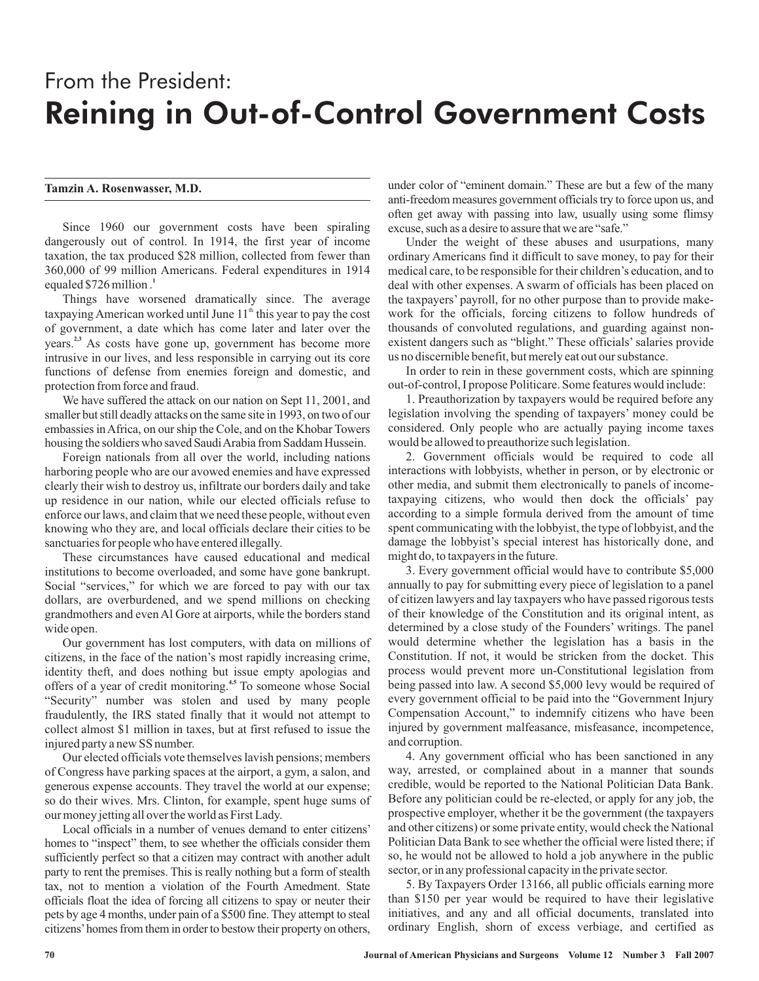## From the President: Reining in Out-of-Control Government Costs

## **Tamzin A. Rosenwasser, M.D.**

Since 1960 our government costs have been spiraling dangerously out of control. In 1914, the first year of income taxation, the tax produced \$28 million, collected from fewer than 360,000 of 99 million Americans. Federal expenditures in 1914 equaled \$726 million . **1**

Things have worsened dramatically since. The average taxpaying American worked until June  $11<sup>th</sup>$  this year to pay the cost of government, a date which has come later and later over the years.<sup>2,3</sup> As costs have gone up, government has become more intrusive in our lives, and less responsible in carrying out its core functions of defense from enemies foreign and domestic, and protection from force and fraud.

We have suffered the attack on our nation on Sept 11, 2001, and smaller but still deadly attacks on the same site in 1993, on two of our embassies in Africa, on our ship the Cole, and on the Khobar Towers housing the soldiers who saved SaudiArabia from Saddam Hussein.

Foreign nationals from all over the world, including nations harboring people who are our avowed enemies and have expressed clearly their wish to destroy us, infiltrate our borders daily and take up residence in our nation, while our elected officials refuse to enforce our laws, and claim that we need these people, without even knowing who they are, and local officials declare their cities to be sanctuaries for people who have entered illegally.

These circumstances have caused educational and medical institutions to become overloaded, and some have gone bankrupt. Social "services," for which we are forced to pay with our tax dollars, are overburdened, and we spend millions on checking grandmothers and even Al Gore at airports, while the borders stand wide open.

Our government has lost computers, with data on millions of citizens, in the face of the nation's most rapidly increasing crime, identity theft, and does nothing but issue empty apologias and offers of a year of credit monitoring.<sup>4,5</sup> To someone whose Social "Security" number was stolen and used by many people fraudulently, the IRS stated finally that it would not attempt to collect almost \$1 million in taxes, but at first refused to issue the injured party a new SS number.

Our elected officials vote themselves lavish pensions; members of Congress have parking spaces at the airport, a gym, a salon, and generous expense accounts. They travel the world at our expense; so do their wives. Mrs. Clinton, for example, spent huge sums of our money jetting all over the world as First Lady.

Local officials in a number of venues demand to enter citizens' homes to "inspect" them, to see whether the officials consider them sufficiently perfect so that a citizen may contract with another adult party to rent the premises. This is really nothing but a form of stealth tax, not to mention a violation of the Fourth Amedment. State officials float the idea of forcing all citizens to spay or neuter their pets by age 4 months, under pain of a \$500 fine. They attempt to steal citizens'homes from them in order to bestow their property on others,

under color of "eminent domain." These are but a few of the many anti-freedom measures government officials try to force upon us, and often get away with passing into law, usually using some flimsy excuse, such as a desire to assure that we are "safe."

Under the weight of these abuses and usurpations, many ordinary Americans find it difficult to save money, to pay for their medical care, to be responsible for their children's education, and to deal with other expenses. A swarm of officials has been placed on the taxpayers' payroll, for no other purpose than to provide makework for the officials, forcing citizens to follow hundreds of thousands of convoluted regulations, and guarding against nonexistent dangers such as "blight." These officials' salaries provide us no discernible benefit, but merely eat out our substance.

In order to rein in these government costs, which are spinning out-of-control, I propose Politicare. Some features would include:

1. Preauthorization by taxpayers would be required before any legislation involving the spending of taxpayers' money could be considered. Only people who are actually paying income taxes would be allowed to preauthorize such legislation.

2. Government officials would be required to code all interactions with lobbyists, whether in person, or by electronic or other media, and submit them electronically to panels of incometaxpaying citizens, who would then dock the officials' pay according to a simple formula derived from the amount of time spent communicating with the lobbyist, the type of lobbyist, and the damage the lobbyist's special interest has historically done, and might do, to taxpayers in the future.

3. Every government official would have to contribute \$5,000 annually to pay for submitting every piece of legislation to a panel of citizen lawyers and lay taxpayers who have passed rigorous tests of their knowledge of the Constitution and its original intent, as determined by a close study of the Founders' writings. The panel would determine whether the legislation has a basis in the Constitution. If not, it would be stricken from the docket. This process would prevent more un-Constitutional legislation from being passed into law. A second \$5,000 levy would be required of every government official to be paid into the "Government Injury Compensation Account," to indemnify citizens who have been injured by government malfeasance, misfeasance, incompetence, and corruption.

4. Any government official who has been sanctioned in any way, arrested, or complained about in a manner that sounds credible, would be reported to the National Politician Data Bank. Before any politician could be re-elected, or apply for any job, the prospective employer, whether it be the government (the taxpayers and other citizens) or some private entity, would check the National Politician Data Bank to see whether the official were listed there; if so, he would not be allowed to hold a job anywhere in the public sector, or in any professional capacity in the private sector.

5. By Taxpayers Order 13166, all public officials earning more than \$150 per year would be required to have their legislative initiatives, and any and all official documents, translated into ordinary English, shorn of excess verbiage, and certified as